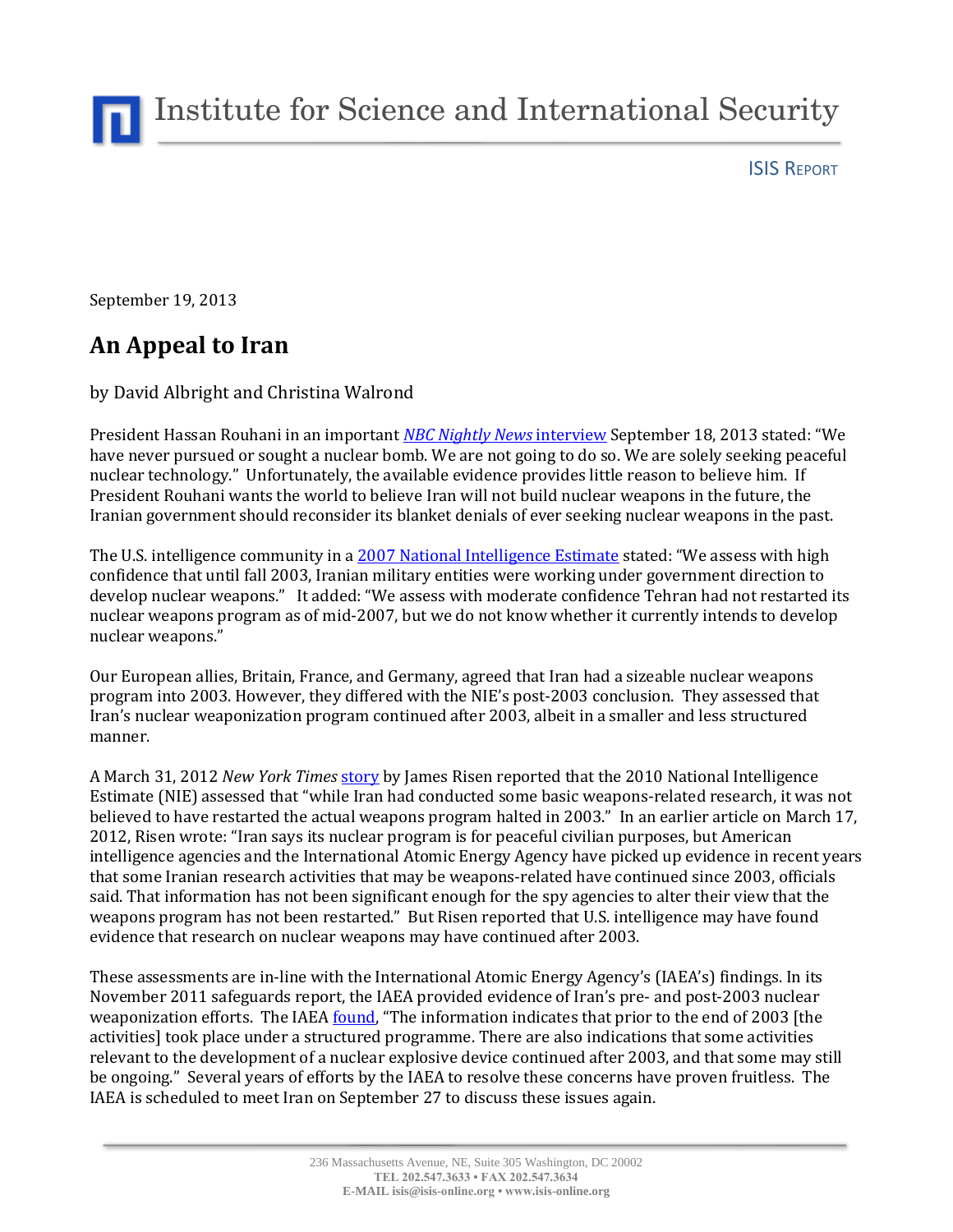Institute for Science and International Security

ISIS REPORT

September 19, 2013

## **An Appeal to Iran**

by David Albright and Christina Walrond

President Hassan Rouhani in an important *[NBC Nightly News](http://www.nbcnews.com/video/ann-curry-reports/53043751/#53043751)* interview September 18, 2013 stated: "We have never pursued or sought a nuclear bomb. We are not going to do so. We are solely seeking peaceful nuclear technology." Unfortunately, the available evidence provides little reason to believe him. If President Rouhani wants the world to believe Iran will not build nuclear weapons in the future, the Iranian government should reconsider its blanket denials of ever seeking nuclear weapons in the past.

The U.S. intelligence community in a [2007 National Intelligence Estimate](http://graphics8.nytimes.com/packages/pdf/international/20071203_release.pdf) stated: "We assess with high confidence that until fall 2003, Iranian military entities were working under government direction to develop nuclear weapons." It added: "We assess with moderate confidence Tehran had not restarted its nuclear weapons program as of mid-2007, but we do not know whether it currently intends to develop nuclear weapons."

Our European allies, Britain, France, and Germany, agreed that Iran had a sizeable nuclear weapons program into 2003. However, they differed with the NIE's post-2003 conclusion. They assessed that Iran's nuclear weaponization program continued after 2003, albeit in a smaller and less structured manner.

A March 31, 2012 *New York Times* [story](http://www.nytimes.com/2012/04/01/world/middleeast/assessing-iran-but-thinking-about-iraq.html?pagewanted=all) by James Risen reported that the 2010 National Intelligence Estimate (NIE) assessed that "while Iran had conducted some basic weapons-related research, it was not believed to have restarted the actual weapons program halted in 2003." In an earlier article on March 17, 2012, Risen wrote: "Iran says its nuclear program is for peaceful civilian purposes, but American intelligence agencies and the International Atomic Energy Agency have picked up evidence in recent years that some Iranian research activities that may be weapons-related have continued since 2003, officials said. That information has not been significant enough for the spy agencies to alter their view that the weapons program has not been restarted." But Risen reported that U.S. intelligence may have found evidence that research on nuclear weapons may have continued after 2003.

These assessments are in-line with the International Atomic Energy Agency's (IAEA's) findings. In its November 2011 safeguards report, the IAEA provided evidence of Iran's pre- and post-2003 nuclear weaponization efforts. The IAEA [found](http://isis-online.org/uploads/isis-reports/documents/IAEA_Iran_8Nov2011.pdf), "The information indicates that prior to the end of 2003 [the activities] took place under a structured programme. There are also indications that some activities relevant to the development of a nuclear explosive device continued after 2003, and that some may still be ongoing." Several years of efforts by the IAEA to resolve these concerns have proven fruitless. The IAEA is scheduled to meet Iran on September 27 to discuss these issues again.